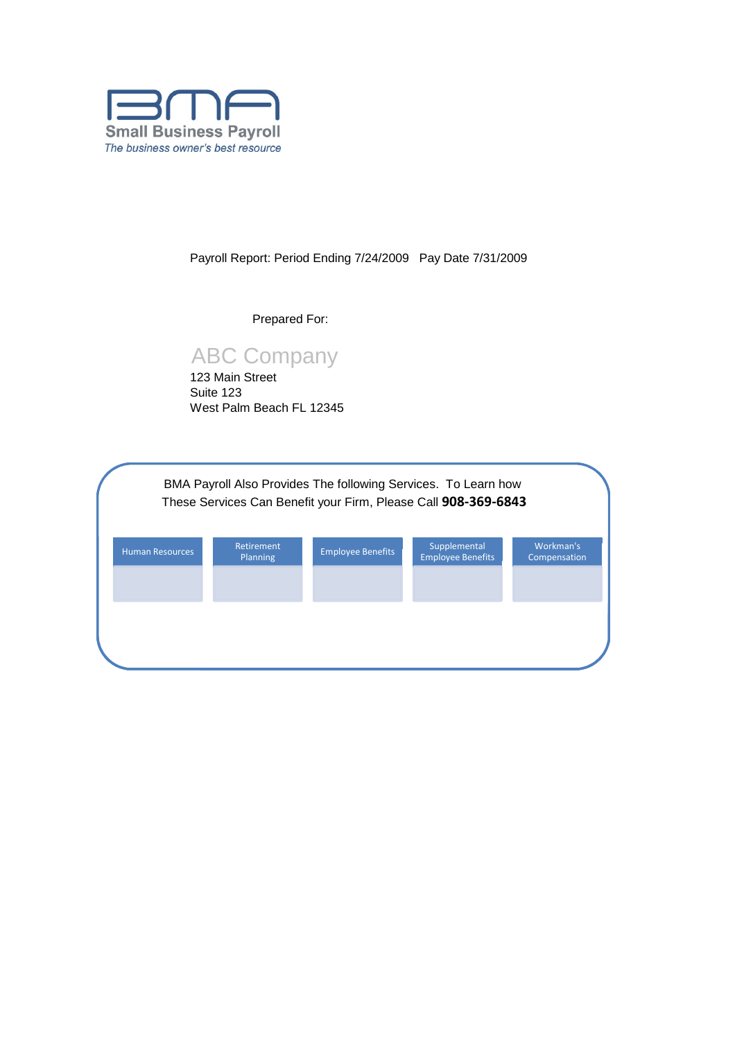

Payroll Report: Period Ending 7/24/2009 Pay Date 7/31/2009

Prepared For:

# ABC Company

123 Main Street Suite 123 West Palm Beach FL 12345

| <b>Human Resources</b> | Retirement<br>Planning | <b>Employee Benefits</b> | Supplemental<br><b>Employee Benefits</b> | Workman's<br>Compensation |
|------------------------|------------------------|--------------------------|------------------------------------------|---------------------------|
|                        |                        |                          |                                          |                           |
|                        |                        |                          |                                          |                           |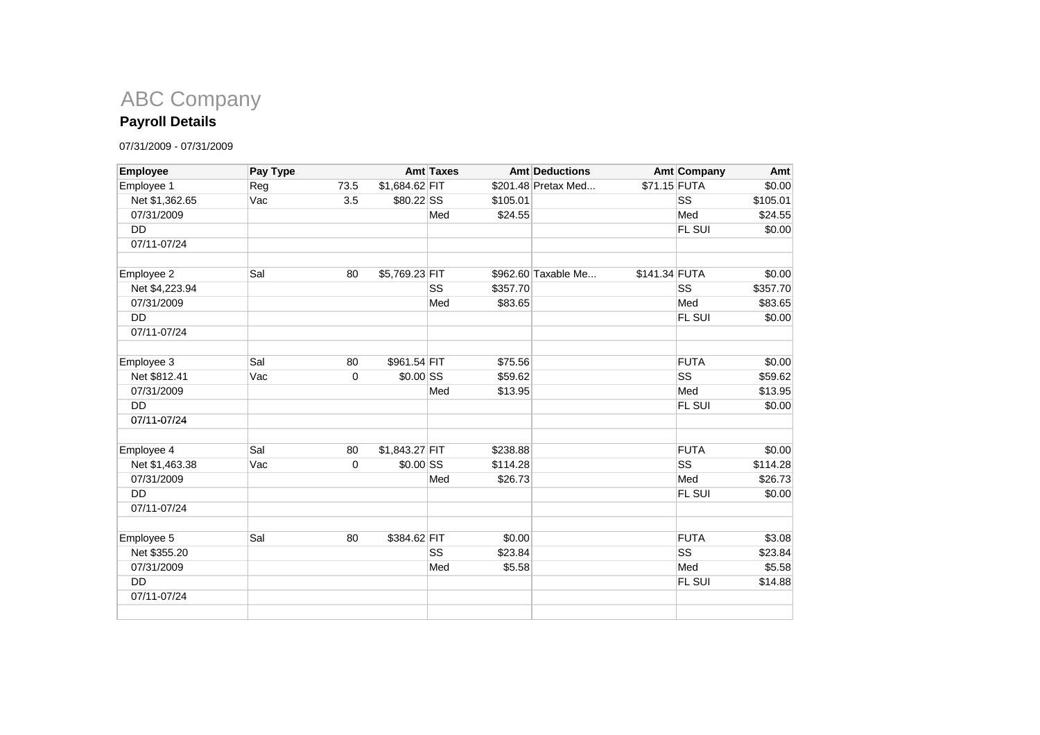

### **Payroll Details**

| <b>Amt Taxes</b>           | <b>Amt Deductions</b> | Amt Company                                | Amt                           |
|----------------------------|-----------------------|--------------------------------------------|-------------------------------|
| \$1,684.62 FIT             |                       |                                            | \$0.00                        |
| \$105.01                   |                       | SS                                         | \$105.01                      |
| \$24.55<br>Med             |                       | Med                                        | \$24.55                       |
|                            |                       | FL SUI                                     | \$0.00                        |
|                            |                       |                                            |                               |
| \$5,769.23 FIT             |                       |                                            | \$0.00                        |
| \$357.70                   |                       | SS                                         | \$357.70                      |
| \$83.65<br>Med             |                       | Med                                        | \$83.65                       |
|                            |                       | FL SUI                                     | \$0.00                        |
|                            |                       |                                            |                               |
| \$961.54 FIT<br>\$75.56    |                       | <b>FUTA</b>                                | \$0.00                        |
| \$59.62                    |                       | SS                                         | \$59.62                       |
| \$13.95<br>Med             |                       | Med                                        | \$13.95                       |
|                            |                       | FL SUI                                     | \$0.00                        |
|                            |                       |                                            |                               |
| \$1,843.27 FIT<br>\$238.88 |                       | <b>FUTA</b>                                | \$0.00                        |
| \$114.28                   |                       | SS                                         | \$114.28                      |
| Med<br>\$26.73             |                       | Med                                        | \$26.73                       |
|                            |                       | FL SUI                                     | \$0.00                        |
|                            |                       |                                            |                               |
| \$384.62 FIT<br>\$0.00     |                       | <b>FUTA</b>                                | \$3.08                        |
| \$23.84                    |                       | SS                                         | \$23.84                       |
| \$5.58<br>Med              |                       | Med                                        | \$5.58                        |
|                            |                       | FL SUI                                     | \$14.88                       |
|                            |                       |                                            |                               |
|                            |                       | \$201.48 Pretax Med<br>\$962.60 Taxable Me | \$71.15 FUTA<br>\$141.34 FUTA |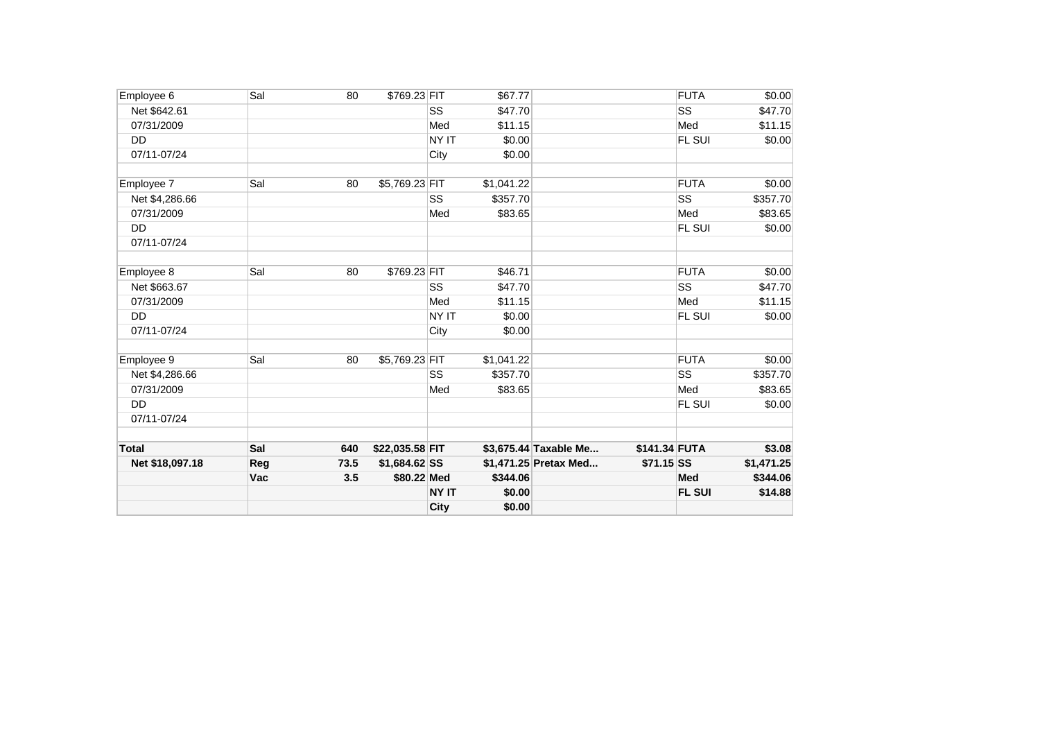| Employee 6      | Sal | 80   | \$769.23 FIT    |              | \$67.77    |                       |               | <b>FUTA</b>   | \$0.00     |
|-----------------|-----|------|-----------------|--------------|------------|-----------------------|---------------|---------------|------------|
| Net \$642.61    |     |      |                 | SS           | \$47.70    |                       |               | SS            | \$47.70    |
| 07/31/2009      |     |      |                 | Med          | \$11.15    |                       |               | Med           | \$11.15    |
| <b>DD</b>       |     |      |                 | NY IT        | \$0.00     |                       |               | FL SUI        | \$0.00     |
| 07/11-07/24     |     |      |                 | City         | \$0.00     |                       |               |               |            |
| Employee 7      | Sal | 80   | \$5,769.23 FIT  |              | \$1,041.22 |                       |               | <b>FUTA</b>   | \$0.00     |
| Net \$4,286.66  |     |      |                 | SS           | \$357.70   |                       |               | SS            | \$357.70   |
| 07/31/2009      |     |      |                 | Med          | \$83.65    |                       |               | Med           | \$83.65    |
| <b>DD</b>       |     |      |                 |              |            |                       |               | FL SUI        | \$0.00     |
| 07/11-07/24     |     |      |                 |              |            |                       |               |               |            |
| Employee 8      | Sal | 80   | \$769.23 FIT    |              | \$46.71    |                       |               | <b>FUTA</b>   | \$0.00     |
| Net \$663.67    |     |      |                 | SS           | \$47.70    |                       |               | SS            | \$47.70    |
| 07/31/2009      |     |      |                 | Med          | \$11.15    |                       |               | Med           | \$11.15    |
| <b>DD</b>       |     |      |                 | NY IT        | \$0.00     |                       |               | FL SUI        | \$0.00     |
| 07/11-07/24     |     |      |                 | City         | \$0.00     |                       |               |               |            |
| Employee 9      | Sal | 80   | \$5,769.23 FIT  |              | \$1,041.22 |                       |               | <b>FUTA</b>   | \$0.00     |
| Net \$4,286.66  |     |      |                 | SS           | \$357.70   |                       |               | SS            | \$357.70   |
| 07/31/2009      |     |      |                 | Med          | \$83.65    |                       |               | Med           | \$83.65    |
| <b>DD</b>       |     |      |                 |              |            |                       |               | FL SUI        | \$0.00     |
| 07/11-07/24     |     |      |                 |              |            |                       |               |               |            |
| <b>Total</b>    | Sal | 640  | \$22,035.58 FIT |              |            | \$3,675.44 Taxable Me | \$141.34 FUTA |               | \$3.08     |
| Net \$18,097.18 | Reg | 73.5 | \$1,684.62 SS   |              |            | \$1,471.25 Pretax Med | \$71.15 SS    |               | \$1,471.25 |
|                 | Vac | 3.5  | \$80.22 Med     |              | \$344.06   |                       |               | <b>Med</b>    | \$344.06   |
|                 |     |      |                 | <b>NY IT</b> | \$0.00     |                       |               | <b>FL SUI</b> | \$14.88    |
|                 |     |      |                 | City         | \$0.00     |                       |               |               |            |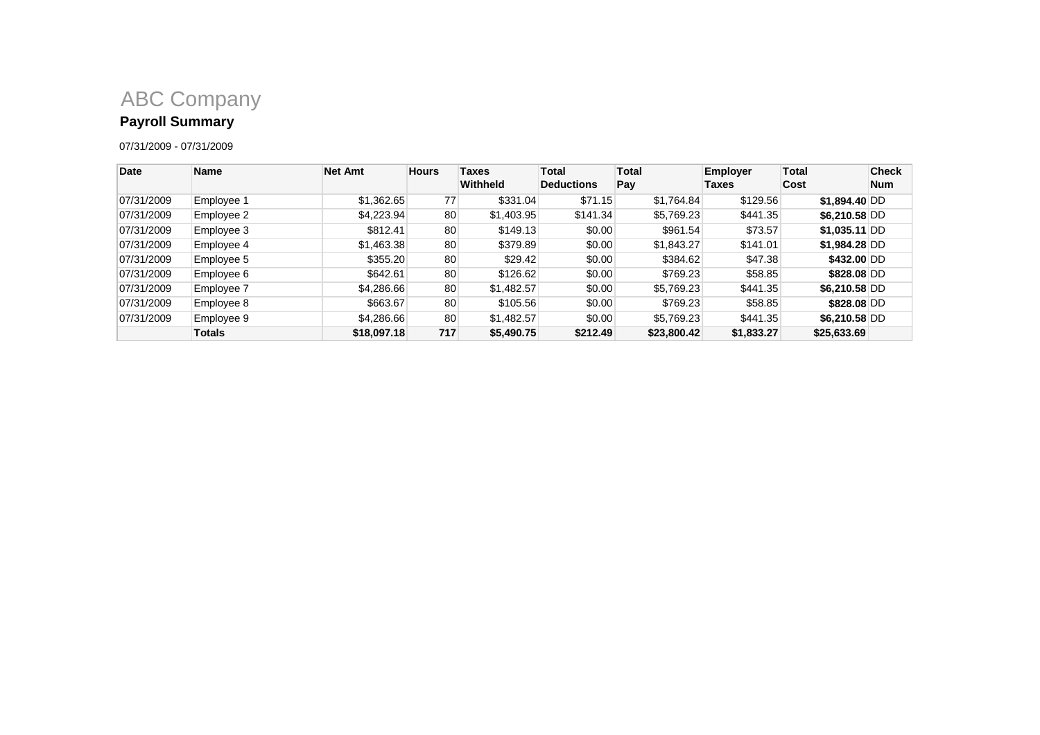

### **Payroll Summary**

| <b>Date</b> | <b>Name</b>   | <b>Net Amt</b> | <b>Hours</b> | <b>Taxes</b><br>Withheld | <b>Total</b>      | <b>Total</b> | <b>Employer</b> | <b>Total</b>   | <b>Check</b> |
|-------------|---------------|----------------|--------------|--------------------------|-------------------|--------------|-----------------|----------------|--------------|
|             |               |                |              |                          | <b>Deductions</b> | Pay          | Taxes           | Cost           | <b>Num</b>   |
| 07/31/2009  | Employee 1    | \$1,362.65     | 77           | \$331.04                 | \$71.15           | \$1,764.84   | \$129.56        | \$1,894.40 DD  |              |
| 07/31/2009  | Employee 2    | \$4,223.94     | 80           | \$1,403.95               | \$141.34          | \$5,769.23   | \$441.35        | \$6,210.58 DD  |              |
| 07/31/2009  | Employee 3    | \$812.41       | 80           | \$149.13                 | \$0.00            | \$961.54     | \$73.57         | $$1,035.11$ DD |              |
| 07/31/2009  | Employee 4    | \$1,463.38     | 80           | \$379.89                 | \$0.00            | \$1,843.27   | \$141.01        | \$1,984.28 DD  |              |
| 07/31/2009  | Employee 5    | \$355.20       | 80           | \$29.42                  | \$0.00            | \$384.62     | \$47.38         | \$432.00 DD    |              |
| 07/31/2009  | Employee 6    | \$642.61       | 80           | \$126.62                 | \$0.00            | \$769.23     | \$58.85         | \$828.08 DD    |              |
| 07/31/2009  | Employee 7    | \$4,286.66     | 80           | \$1,482.57               | \$0.00            | \$5,769.23   | \$441.35        | \$6,210,58 DD  |              |
| 07/31/2009  | Employee 8    | \$663.67       | 80           | \$105.56                 | \$0.00            | \$769.23     | \$58.85         | \$828,08 DD    |              |
| 07/31/2009  | Employee 9    | \$4,286,66     | 80           | \$1,482.57               | \$0.00            | \$5.769.23   | \$441.35        | \$6,210,58 DD  |              |
|             | <b>Totals</b> | \$18,097.18    | 717          | \$5,490.75               | \$212.49          | \$23,800.42  | \$1,833.27      | \$25,633.69    |              |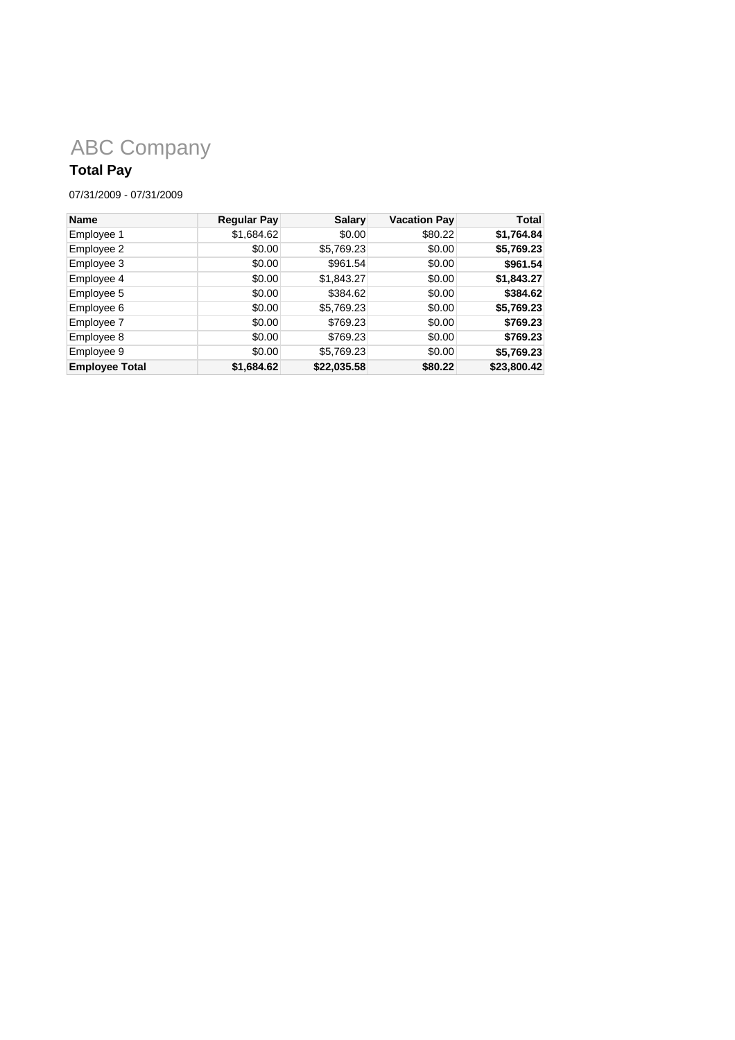# ABC Company

# **Total Pay**

| <b>Name</b>           | <b>Regular Pay</b> | <b>Salary</b> | <b>Vacation Pay</b> | <b>Total</b> |
|-----------------------|--------------------|---------------|---------------------|--------------|
| Employee 1            | \$1,684.62         | \$0.00        | \$80.22             | \$1,764.84   |
| Employee 2            | \$0.00             | \$5,769.23    | \$0.00              | \$5,769.23   |
| Employee 3            | \$0.00             | \$961.54      | \$0.00              | \$961.54     |
| Employee 4            | \$0.00             | \$1,843.27    | \$0.00              | \$1,843.27   |
| Employee 5            | \$0.00             | \$384.62      | \$0.00              | \$384.62     |
| Employee 6            | \$0.00             | \$5,769.23    | \$0.00              | \$5,769.23   |
| Employee 7            | \$0.00             | \$769.23      | \$0.00              | \$769.23     |
| Employee 8            | \$0.00             | \$769.23      | \$0.00              | \$769.23     |
| Employee 9            | \$0.00             | \$5,769.23    | \$0.00              | \$5,769.23   |
| <b>Employee Total</b> | \$1,684.62         | \$22,035.58   | \$80.22             | \$23,800.42  |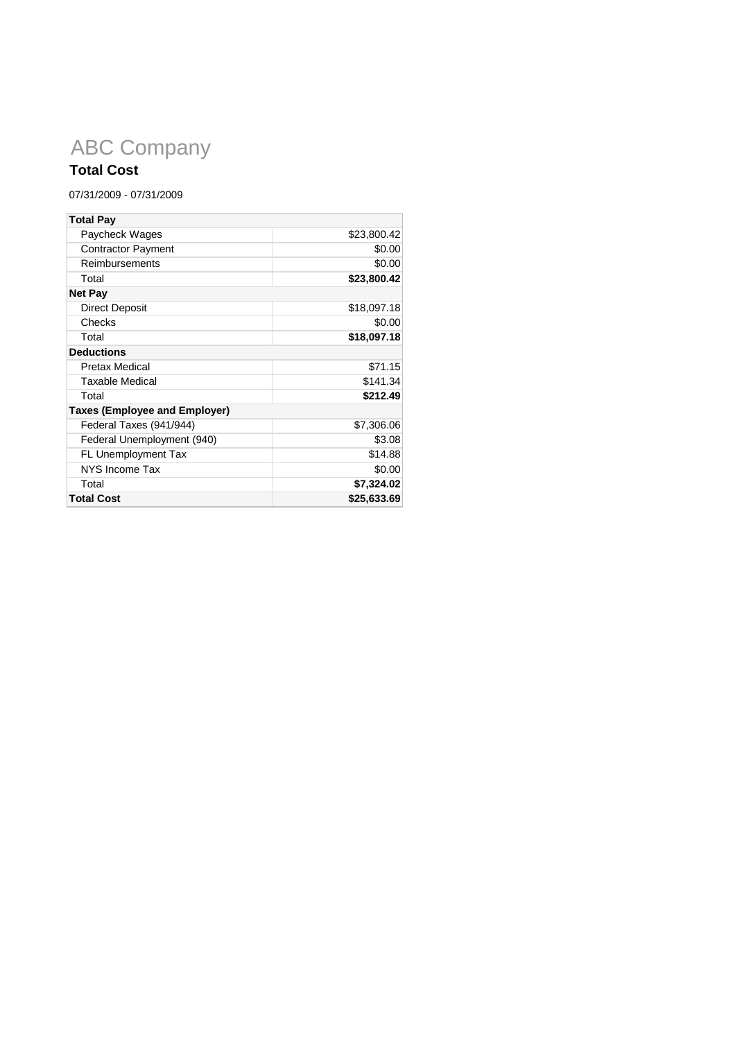## **Total Cost** ABC Company

| <b>Total Pay</b>                     |             |  |
|--------------------------------------|-------------|--|
| Paycheck Wages                       | \$23,800.42 |  |
| <b>Contractor Payment</b>            | \$0.00      |  |
| Reimbursements                       | \$0.00      |  |
| Total<br>\$23,800.42                 |             |  |
| <b>Net Pay</b>                       |             |  |
| Direct Deposit                       | \$18,097.18 |  |
| Checks                               | \$0.00      |  |
| Total                                | \$18,097.18 |  |
| <b>Deductions</b>                    |             |  |
| <b>Pretax Medical</b>                | \$71.15     |  |
| <b>Taxable Medical</b>               | \$141.34    |  |
| Total                                | \$212.49    |  |
| <b>Taxes (Employee and Employer)</b> |             |  |
| Federal Taxes (941/944)              | \$7,306.06  |  |
| Federal Unemployment (940)           | \$3.08      |  |
| FL Unemployment Tax                  | \$14.88     |  |
| NYS Income Tax                       | \$0.00      |  |
| Total                                | \$7,324.02  |  |
| <b>Total Cost</b>                    | \$25,633.69 |  |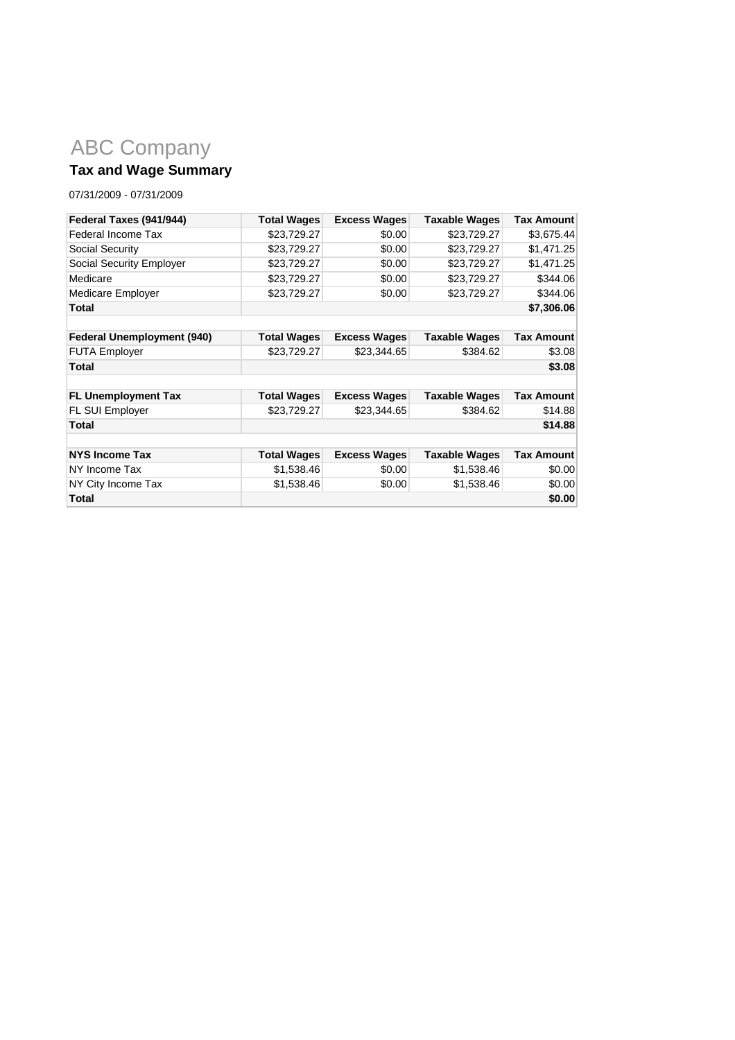## **Tax and Wage Summary** ABC Company

| Federal Taxes (941/944)           | <b>Total Wages</b> | <b>Excess Wages</b> | <b>Taxable Wages</b> | <b>Tax Amount</b> |
|-----------------------------------|--------------------|---------------------|----------------------|-------------------|
| Federal Income Tax                | \$23,729.27        | \$0.00              | \$23,729.27          | \$3,675.44        |
| Social Security                   | \$23,729.27        | \$0.00              | \$23,729.27          | \$1,471.25        |
| <b>Social Security Employer</b>   | \$23,729.27        | \$0.00              | \$23,729.27          | \$1,471.25        |
| Medicare                          | \$23,729.27        | \$0.00              | \$23,729.27          | \$344.06          |
| Medicare Employer                 | \$23,729.27        | \$0.00              | \$23,729.27          | \$344.06          |
| <b>Total</b>                      |                    |                     |                      | \$7,306.06        |
|                                   |                    |                     |                      |                   |
| <b>Federal Unemployment (940)</b> | <b>Total Wages</b> | <b>Excess Wages</b> | <b>Taxable Wages</b> | <b>Tax Amount</b> |
| <b>FUTA Employer</b>              | \$23,729.27        | \$23,344.65         | \$384.62             | \$3.08            |
| <b>Total</b>                      |                    |                     |                      | \$3.08            |
|                                   |                    |                     |                      |                   |
| <b>FL Unemployment Tax</b>        | <b>Total Wages</b> | <b>Excess Wages</b> | <b>Taxable Wages</b> | <b>Tax Amount</b> |
| FL SUI Employer                   | \$23,729.27        | \$23,344.65         | \$384.62             | \$14.88           |
| Total                             |                    |                     |                      | \$14.88           |
|                                   |                    |                     |                      |                   |
| <b>NYS Income Tax</b>             | <b>Total Wages</b> | <b>Excess Wages</b> | <b>Taxable Wages</b> | <b>Tax Amount</b> |
| NY Income Tax                     | \$1,538.46         | \$0.00              | \$1,538.46           | \$0.00            |
| NY City Income Tax                | \$1,538.46         | \$0.00              | \$1,538.46           | \$0.00            |
| Total                             |                    |                     |                      | \$0.00            |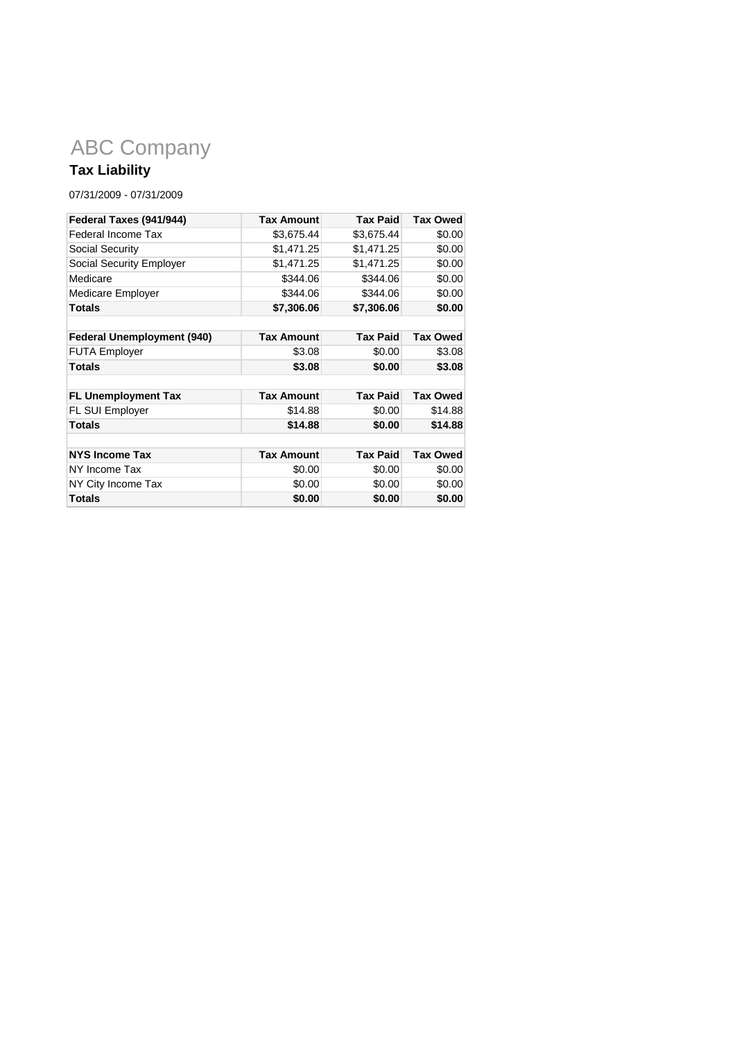# ABC Company

## **Tax Liability**

| Federal Taxes (941/944)           | <b>Tax Amount</b> | <b>Tax Paid</b> | <b>Tax Owed</b> |
|-----------------------------------|-------------------|-----------------|-----------------|
| Federal Income Tax                | \$3,675.44        | \$3,675.44      | \$0.00          |
| <b>Social Security</b>            | \$1,471.25        | \$1,471.25      | \$0.00          |
| Social Security Employer          | \$1,471.25        | \$1,471.25      | \$0.00          |
| Medicare                          | \$344.06          | \$344.06        | \$0.00          |
| Medicare Employer                 | \$344.06          | \$344.06        | \$0.00          |
| <b>Totals</b>                     | \$7,306.06        | \$7,306.06      | \$0.00          |
|                                   |                   |                 |                 |
| <b>Federal Unemployment (940)</b> | <b>Tax Amount</b> | <b>Tax Paid</b> | <b>Tax Owed</b> |
| <b>FUTA Employer</b>              | \$3.08            | \$0.00          | \$3.08          |
| Totals                            | \$3.08            | \$0.00          | \$3.08          |
|                                   |                   |                 |                 |
| <b>FL Unemployment Tax</b>        | <b>Tax Amount</b> | <b>Tax Paid</b> | <b>Tax Owed</b> |
| FL SUI Employer                   | \$14.88           | \$0.00          | \$14.88         |
| <b>Totals</b>                     | \$14.88           | \$0.00          | \$14.88         |
|                                   |                   |                 |                 |
| <b>NYS Income Tax</b>             | <b>Tax Amount</b> | <b>Tax Paid</b> | <b>Tax Owed</b> |
| NY Income Tax                     | \$0.00            | \$0.00          | \$0.00          |
| NY City Income Tax                | \$0.00            | \$0.00          | \$0.00          |
| <b>Totals</b>                     | \$0.00            | \$0.00          | \$0.00          |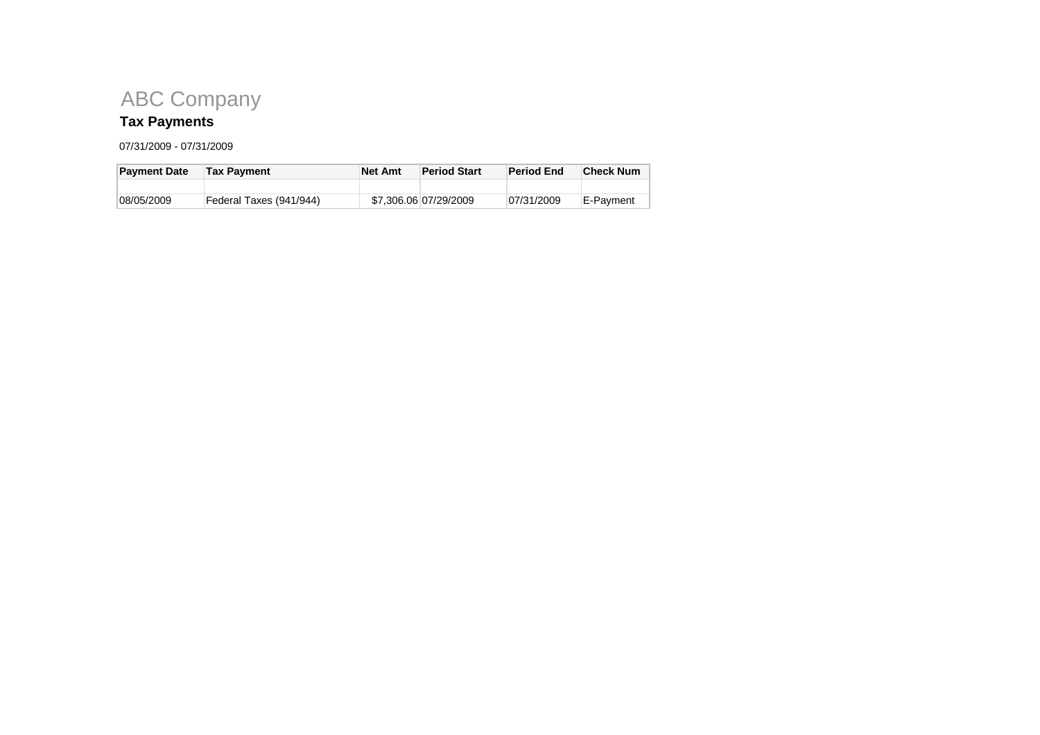ABC Company

## **Tax Payments**

| <b>Payment Date</b> | <b>Tax Pavment</b>      | <b>Net Amt</b> | <b>Period Start</b>   | <b>Period End</b> | <b>Check Num</b> |
|---------------------|-------------------------|----------------|-----------------------|-------------------|------------------|
|                     |                         |                |                       |                   |                  |
| 08/05/2009          | Federal Taxes (941/944) |                | \$7,306,06 07/29/2009 | 07/31/2009        | E-Pavment        |